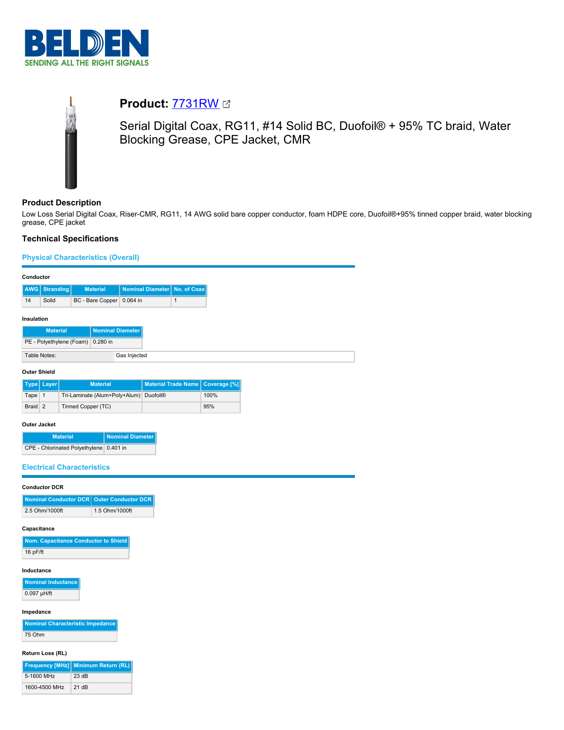



# **Product:** [7731RW](https://catalog.belden.com/index.cfm?event=pd&p=PF_7731RW&tab=downloads)

Serial Digital Coax, RG11, #14 Solid BC, Duofoil® + 95% TC braid, Water Blocking Grease, CPE Jacket, CMR

# **Product Description**

Low Loss Serial Digital Coax, Riser-CMR, RG11, 14 AWG solid bare copper conductor, foam HDPE core, Duofoil®+95% tinned copper braid, water blocking grease, CPE jacket

# **Technical Specifications**

#### **Physical Characteristics (Overall)**

| Conductor                    |                                   |  |                  |          |                                |                                    |
|------------------------------|-----------------------------------|--|------------------|----------|--------------------------------|------------------------------------|
| AWG                          | <b>Stranding</b>                  |  | <b>Material</b>  |          | Nominal Diameter   No. of Coax |                                    |
| 14                           | Solid                             |  | BC - Bare Copper | 0.064 in | 1                              |                                    |
|                              | Insulation                        |  |                  |          |                                |                                    |
|                              | <b>Material</b>                   |  | Nominal Diameter |          |                                |                                    |
|                              | PE - Polyethylene (Foam) 0.280 in |  |                  |          |                                |                                    |
| Table Notes:<br>Gas Injected |                                   |  |                  |          |                                |                                    |
| <b>Outer Shield</b>          |                                   |  |                  |          |                                |                                    |
|                              | Type   Layer                      |  | <b>Material</b>  |          |                                | Material Trade Name   Coverage [%] |

|         | lype  Layer | <b>Material</b>                                    | <b>I Material Traue Natile   Coverage   76</b> |      |
|---------|-------------|----------------------------------------------------|------------------------------------------------|------|
| Tape 1  |             | Tri-Laminate (Alum+Poly+Alum) Duofoil <sup>®</sup> |                                                | 100% |
| Braid 2 |             | Tinned Copper (TC)                                 |                                                | 95%  |

#### **Outer Jacket**

| <b>Material</b>                         | <b>Nominal Diameter</b> |
|-----------------------------------------|-------------------------|
| CPE - Chlorinated Polyethylene 0.401 in |                         |

## **Electrical Characteristics**

## **Conductor DCR**

| Nominal Conductor DCR Outer Conductor DCR |                |
|-------------------------------------------|----------------|
| 2.5 Ohm/1000ft                            | 1.5 Ohm/1000ft |

#### **Capacitance**

| Nom. Capacitance Conductor to Shield |
|--------------------------------------|
| $16$ pF/ft                           |

#### **Inductance**

**Nominal Inductance** 0.097 µH/ft

# **Impedance**

| <b>Nominal Characteristic Impedance</b> |
|-----------------------------------------|
| 75 Ohm                                  |

#### **Return Loss (RL)**

|               | Frequency [MHz] Minimum Return (RL) |
|---------------|-------------------------------------|
| 5-1600 MHz    | 23 dB                               |
| 1600-4500 MHz | 21 dB                               |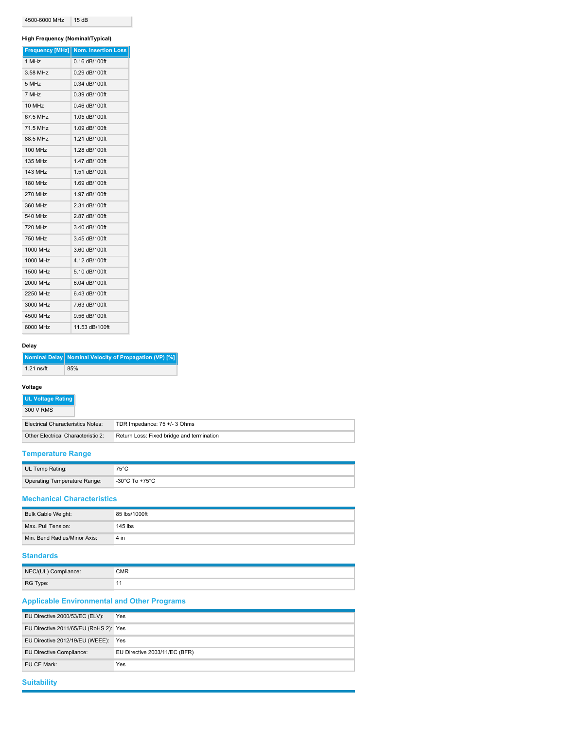| 4500-6000 MHz | 15dB |
|---------------|------|
|---------------|------|

## **High Frequency (Nominal/Typical)**

|                | Frequency [MHz] Nom. Insertion Loss |
|----------------|-------------------------------------|
| 1 MHz          | $0.16$ dB/100ft                     |
| 3.58 MHz       | 0.29 dB/100ft                       |
| 5 MHz          | $0.34$ dB/100ft                     |
| 7 MHz          | 0.39 dB/100ft                       |
| 10 MHz         | $0.46$ dB/100ft                     |
| 67.5 MHz       | 1.05 dB/100ft                       |
| 71.5 MHz       | 1.09 dB/100ft                       |
| 88.5 MHz       | 1.21 dB/100ft                       |
| 100 MHz        | 1.28 dB/100ft                       |
| <b>135 MHz</b> | 1.47 dB/100ft                       |
| <b>143 MHz</b> | 1.51 dB/100ft                       |
| 180 MHz        | 1.69 dB/100ft                       |
| <b>270 MHz</b> | 1.97 dB/100ft                       |
| 360 MHz        | 2.31 dB/100ft                       |
| 540 MHz        | 2.87 dB/100ft                       |
| 720 MHz        | 3.40 dB/100ft                       |
| <b>750 MHz</b> | 3.45 dB/100ft                       |
| 1000 MHz       | 3.60 dB/100ft                       |
| 1000 MHz       | 4.12 dB/100ft                       |
| 1500 MHz       | 5.10 dB/100ft                       |
| 2000 MHz       | 6.04 dB/100ft                       |
| 2250 MHz       | 6.43 dB/100ft                       |
| 3000 MHz       | 7.63 dB/100ft                       |
| 4500 MHz       | 9.56 dB/100ft                       |
| 6000 MHz       | 11.53 dB/100ft                      |

# **Delay**

|              | Nominal Delay   Nominal Velocity of Propagation (VP) [%] |
|--------------|----------------------------------------------------------|
| $1.21$ ns/ft | 85%                                                      |

# **Voltage**

| UL Voltage Rating<br>300 V RMS           |                                           |
|------------------------------------------|-------------------------------------------|
| <b>Electrical Characteristics Notes:</b> | TDR Impedance: 75 +/- 3 Ohms              |
| Other Electrical Characteristic 2:       | Return Loss: Fixed bridge and termination |

# **Temperature Range**

| UL Temp Rating:                     | 75°C           |
|-------------------------------------|----------------|
| <b>Operating Temperature Range:</b> | -30°C To +75°C |
|                                     |                |

# **Mechanical Characteristics**

| Bulk Cable Weight:           | 85 lbs/1000ft |
|------------------------------|---------------|
| Max. Pull Tension:           | $145$ lbs     |
| Min. Bend Radius/Minor Axis: | 4 in          |

# **Standards**

| NEC/(UL) Compliance: | CMR |
|----------------------|-----|
| RG Type:             |     |

# **Applicable Environmental and Other Programs**

| EU Directive 2000/53/EC (ELV):        | Yes                           |
|---------------------------------------|-------------------------------|
| EU Directive 2011/65/EU (RoHS 2): Yes |                               |
| EU Directive 2012/19/EU (WEEE):       | Yes                           |
| EU Directive Compliance:              | EU Directive 2003/11/EC (BFR) |
| EU CE Mark:                           | Yes                           |

# **Suitability**